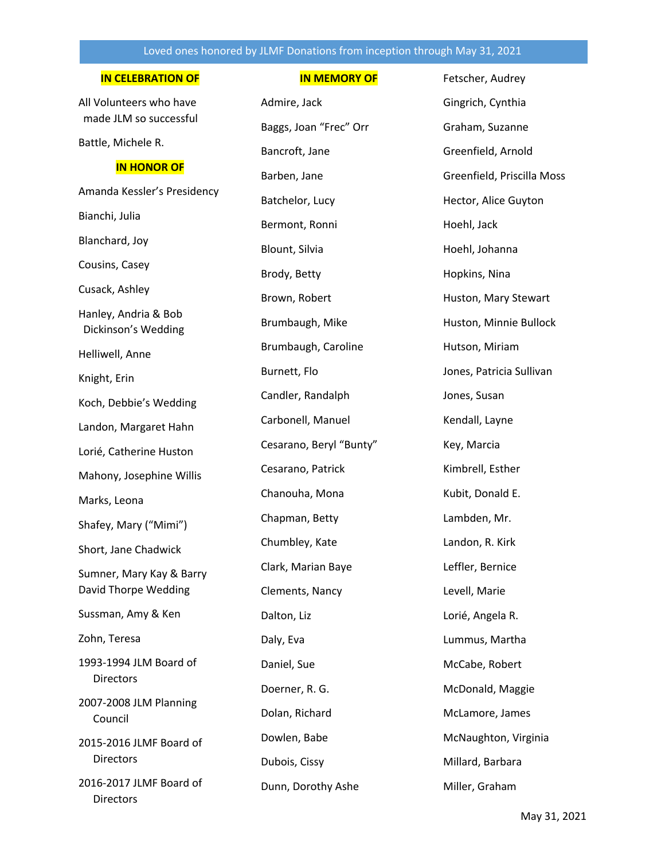## Loved ones honored by JLMF Donations from inception through May 31, 2021

### **IN CELEBRATION OF**

All Volunteers who have made JLM so successful

Battle, Michele R.

#### **IN HONOR OF**

Amanda Kessler's Presidency Bianchi, Julia Blanchard, Joy Cousins, Casey Cusack, Ashley Hanley, Andria & Bob Dickinson's Wedding Helliwell, Anne Knight, Erin Koch, Debbie's Wedding Landon, Margaret Hahn Lorié, Catherine Huston Mahony, Josephine Willis Marks, Leona Shafey, Mary ("Mimi") Short, Jane Chadwick Sumner, Mary Kay & Barry David Thorpe Wedding Sussman, Amy & Ken Zohn, Teresa 1993-1994 JLM Board of **Directors** 2007-2008 JLM Planning Council 2015-2016 JLMF Board of **Directors** 2016-2017 JLMF Board of **Directors** 

## **IN MEMORY OF**

Admire, Jack Baggs, Joan "Frec" Orr Bancroft, Jane Barben, Jane Batchelor, Lucy Bermont, Ronni Blount, Silvia Brody, Betty Brown, Robert Brumbaugh, Mike Brumbaugh, Caroline Burnett, Flo Candler, Randalph Carbonell, Manuel Cesarano, Beryl "Bunty" Cesarano, Patrick Chanouha, Mona Chapman, Betty Chumbley, Kate Clark, Marian Baye Clements, Nancy Dalton, Liz Daly, Eva Daniel, Sue Doerner, R. G. Dolan, Richard Dowlen, Babe Dubois, Cissy Dunn, Dorothy Ashe

Fetscher, Audrey Gingrich, Cynthia Graham, Suzanne Greenfield, Arnold Greenfield, Priscilla Moss Hector, Alice Guyton Hoehl, Jack Hoehl, Johanna Hopkins, Nina Huston, Mary Stewart Huston, Minnie Bullock Hutson, Miriam Jones, Patricia Sullivan Jones, Susan Kendall, Layne Key, Marcia Kimbrell, Esther Kubit, Donald E. Lambden, Mr. Landon, R. Kirk Leffler, Bernice Levell, Marie Lorié, Angela R. Lummus, Martha McCabe, Robert McDonald, Maggie McLamore, James McNaughton, Virginia Millard, Barbara Miller, Graham